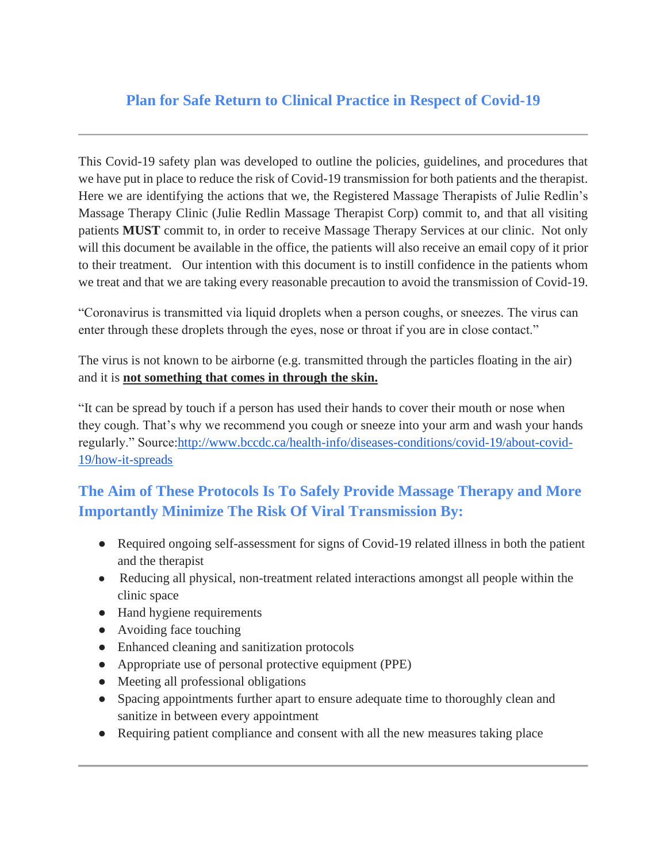## **Plan for Safe Return to Clinical Practice in Respect of Covid-19**

This Covid-19 safety plan was developed to outline the policies, guidelines, and procedures that we have put in place to reduce the risk of Covid-19 transmission for both patients and the therapist. Here we are identifying the actions that we, the Registered Massage Therapists of Julie Redlin's Massage Therapy Clinic (Julie Redlin Massage Therapist Corp) commit to, and that all visiting patients **MUST** commit to, in order to receive Massage Therapy Services at our clinic. Not only will this document be available in the office, the patients will also receive an email copy of it prior to their treatment. Our intention with this document is to instill confidence in the patients whom we treat and that we are taking every reasonable precaution to avoid the transmission of Covid-19.

"Coronavirus is transmitted via liquid droplets when a person coughs, or sneezes. The virus can enter through these droplets through the eyes, nose or throat if you are in close contact."

The virus is not known to be airborne (e.g. transmitted through the particles floating in the air) and it is **not something that comes in through the skin.**

"It can be spread by touch if a person has used their hands to cover their mouth or nose when they cough. That's why we recommend you cough or sneeze into your arm and wash your hands regularly." Source[:http://www.bccdc.ca/health-info/diseases-conditions/covid-19/about-covid-](http://www.bccdc.ca/health-info/diseases-conditions/covid-19/about-covid-19/how-it-spreads)[19/how-it-spreads](http://www.bccdc.ca/health-info/diseases-conditions/covid-19/about-covid-19/how-it-spreads)

## **The Aim of These Protocols Is To Safely Provide Massage Therapy and More Importantly Minimize The Risk Of Viral Transmission By:**

- Required ongoing self-assessment for signs of Covid-19 related illness in both the patient and the therapist
- Reducing all physical, non-treatment related interactions amongst all people within the clinic space
- Hand hygiene requirements
- Avoiding face touching
- Enhanced cleaning and sanitization protocols
- Appropriate use of personal protective equipment (PPE)
- Meeting all professional obligations
- Spacing appointments further apart to ensure adequate time to thoroughly clean and sanitize in between every appointment
- Requiring patient compliance and consent with all the new measures taking place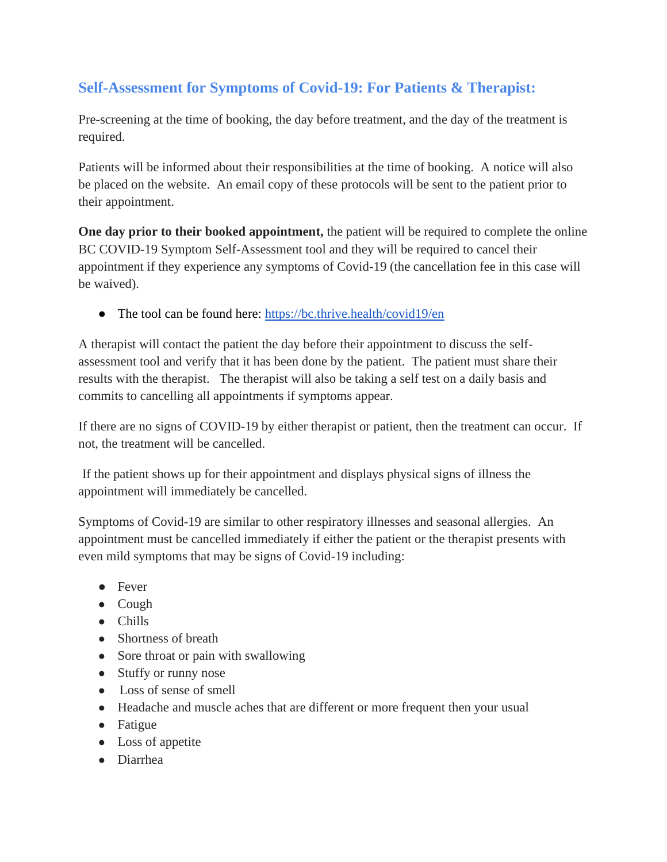## **Self-Assessment for Symptoms of Covid-19: For Patients & Therapist:**

Pre-screening at the time of booking, the day before treatment, and the day of the treatment is required.

Patients will be informed about their responsibilities at the time of booking. A notice will also be placed on the website. An email copy of these protocols will be sent to the patient prior to their appointment.

**One day prior to their booked appointment,** the patient will be required to complete the online BC COVID-19 Symptom Self-Assessment tool and they will be required to cancel their appointment if they experience any symptoms of Covid-19 (the cancellation fee in this case will be waived).

• The tool can be found here:<https://bc.thrive.health/covid19/en>

A therapist will contact the patient the day before their appointment to discuss the selfassessment tool and verify that it has been done by the patient. The patient must share their results with the therapist. The therapist will also be taking a self test on a daily basis and commits to cancelling all appointments if symptoms appear.

If there are no signs of COVID-19 by either therapist or patient, then the treatment can occur. If not, the treatment will be cancelled.

 If the patient shows up for their appointment and displays physical signs of illness the appointment will immediately be cancelled.

Symptoms of Covid-19 are similar to other respiratory illnesses and seasonal allergies. An appointment must be cancelled immediately if either the patient or the therapist presents with even mild symptoms that may be signs of Covid-19 including:

- Fever
- Cough
- Chills
- Shortness of breath
- Sore throat or pain with swallowing
- Stuffy or runny nose
- Loss of sense of smell
- Headache and muscle aches that are different or more frequent then your usual
- Fatigue
- Loss of appetite
- Diarrhea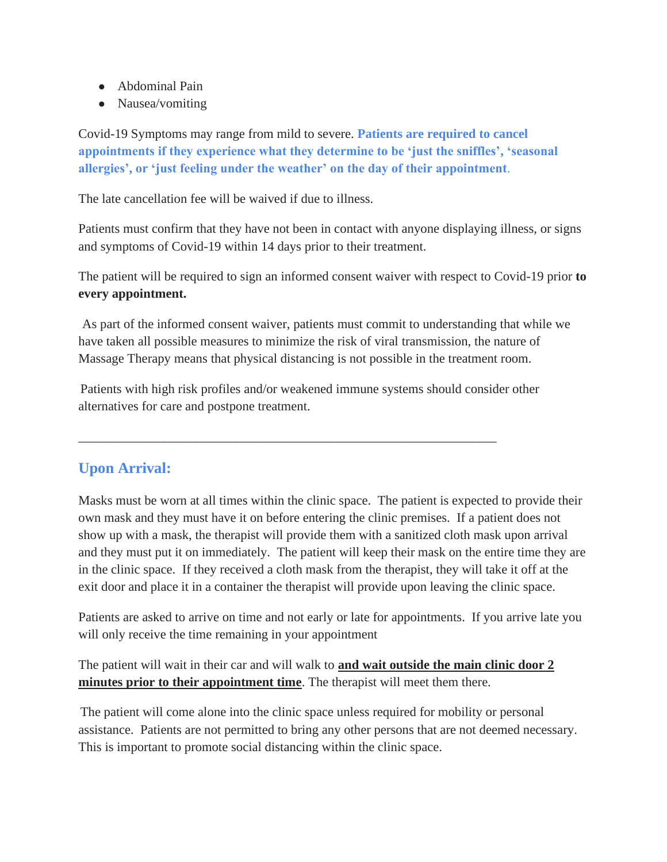- Abdominal Pain
- Nausea/vomiting

Covid-19 Symptoms may range from mild to severe. **Patients are required to cancel appointments if they experience what they determine to be 'just the sniffles', 'seasonal allergies', or 'just feeling under the weather' on the day of their appointment**.

The late cancellation fee will be waived if due to illness.

Patients must confirm that they have not been in contact with anyone displaying illness, or signs and symptoms of Covid-19 within 14 days prior to their treatment.

The patient will be required to sign an informed consent waiver with respect to Covid-19 prior **to every appointment.**

 As part of the informed consent waiver, patients must commit to understanding that while we have taken all possible measures to minimize the risk of viral transmission, the nature of Massage Therapy means that physical distancing is not possible in the treatment room.

Patients with high risk profiles and/or weakened immune systems should consider other alternatives for care and postpone treatment.

\_\_\_\_\_\_\_\_\_\_\_\_\_\_\_\_\_\_\_\_\_\_\_\_\_\_\_\_\_\_\_\_\_\_\_\_\_\_\_\_\_\_\_\_\_\_\_\_\_\_\_\_\_\_\_\_\_\_\_\_\_\_\_\_

### **Upon Arrival:**

Masks must be worn at all times within the clinic space. The patient is expected to provide their own mask and they must have it on before entering the clinic premises. If a patient does not show up with a mask, the therapist will provide them with a sanitized cloth mask upon arrival and they must put it on immediately. The patient will keep their mask on the entire time they are in the clinic space. If they received a cloth mask from the therapist, they will take it off at the exit door and place it in a container the therapist will provide upon leaving the clinic space.

Patients are asked to arrive on time and not early or late for appointments. If you arrive late you will only receive the time remaining in your appointment

The patient will wait in their car and will walk to **and wait outside the main clinic door 2 minutes prior to their appointment time**. The therapist will meet them there.

The patient will come alone into the clinic space unless required for mobility or personal assistance. Patients are not permitted to bring any other persons that are not deemed necessary. This is important to promote social distancing within the clinic space.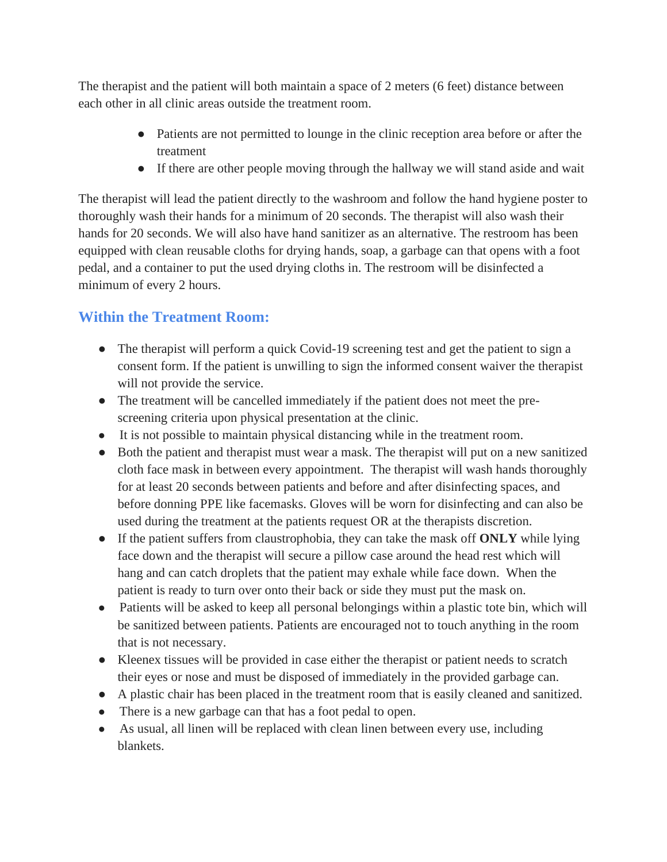The therapist and the patient will both maintain a space of 2 meters (6 feet) distance between each other in all clinic areas outside the treatment room.

- Patients are not permitted to lounge in the clinic reception area before or after the treatment
- If there are other people moving through the hallway we will stand aside and wait

The therapist will lead the patient directly to the washroom and follow the hand hygiene poster to thoroughly wash their hands for a minimum of 20 seconds. The therapist will also wash their hands for 20 seconds. We will also have hand sanitizer as an alternative. The restroom has been equipped with clean reusable cloths for drying hands, soap, a garbage can that opens with a foot pedal, and a container to put the used drying cloths in. The restroom will be disinfected a minimum of every 2 hours.

## **Within the Treatment Room:**

- The therapist will perform a quick Covid-19 screening test and get the patient to sign a consent form. If the patient is unwilling to sign the informed consent waiver the therapist will not provide the service.
- The treatment will be cancelled immediately if the patient does not meet the prescreening criteria upon physical presentation at the clinic.
- It is not possible to maintain physical distancing while in the treatment room.
- Both the patient and therapist must wear a mask. The therapist will put on a new sanitized cloth face mask in between every appointment. The therapist will wash hands thoroughly for at least 20 seconds between patients and before and after disinfecting spaces, and before donning PPE like facemasks. Gloves will be worn for disinfecting and can also be used during the treatment at the patients request OR at the therapists discretion.
- If the patient suffers from claustrophobia, they can take the mask off **ONLY** while lying face down and the therapist will secure a pillow case around the head rest which will hang and can catch droplets that the patient may exhale while face down. When the patient is ready to turn over onto their back or side they must put the mask on.
- Patients will be asked to keep all personal belongings within a plastic tote bin, which will be sanitized between patients. Patients are encouraged not to touch anything in the room that is not necessary.
- Kleenex tissues will be provided in case either the therapist or patient needs to scratch their eyes or nose and must be disposed of immediately in the provided garbage can.
- A plastic chair has been placed in the treatment room that is easily cleaned and sanitized.
- There is a new garbage can that has a foot pedal to open.
- As usual, all linen will be replaced with clean linen between every use, including blankets.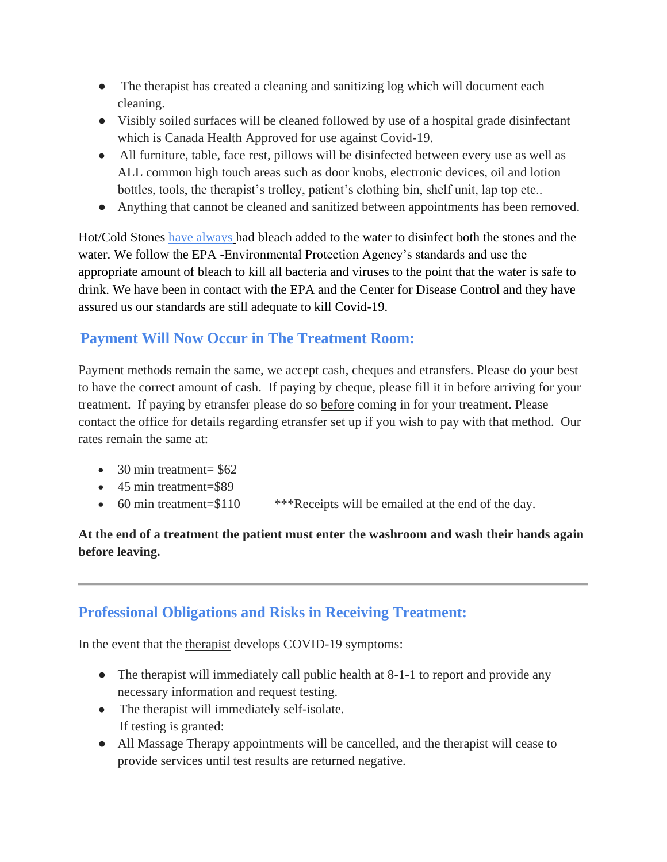- The therapist has created a cleaning and sanitizing log which will document each cleaning.
- Visibly soiled surfaces will be cleaned followed by use of a hospital grade disinfectant which is Canada Health Approved for use against Covid-19.
- All furniture, table, face rest, pillows will be disinfected between every use as well as ALL common high touch areas such as door knobs, electronic devices, oil and lotion bottles, tools, the therapist's trolley, patient's clothing bin, shelf unit, lap top etc..
- Anything that cannot be cleaned and sanitized between appointments has been removed.

Hot/Cold Stones have always had bleach added to the water to disinfect both the stones and the water. We follow the EPA -Environmental Protection Agency's standards and use the appropriate amount of bleach to kill all bacteria and viruses to the point that the water is safe to drink. We have been in contact with the EPA and the Center for Disease Control and they have assured us our standards are still adequate to kill Covid-19.

### **Payment Will Now Occur in The Treatment Room:**

Payment methods remain the same, we accept cash, cheques and etransfers. Please do your best to have the correct amount of cash. If paying by cheque, please fill it in before arriving for your treatment. If paying by etransfer please do so before coming in for your treatment. Please contact the office for details regarding etransfer set up if you wish to pay with that method. Our rates remain the same at:

- 30 min treatment=  $$62$
- 45 min treatment=\$89
- 60 min treatment=\$110 \*\*\*Receipts will be emailed at the end of the day.

#### **At the end of a treatment the patient must enter the washroom and wash their hands again before leaving.**

### **Professional Obligations and Risks in Receiving Treatment:**

In the event that the therapist develops COVID-19 symptoms:

- The therapist will immediately call public health at 8-1-1 to report and provide any necessary information and request testing.
- The therapist will immediately self-isolate. If testing is granted:
- All Massage Therapy appointments will be cancelled, and the therapist will cease to provide services until test results are returned negative.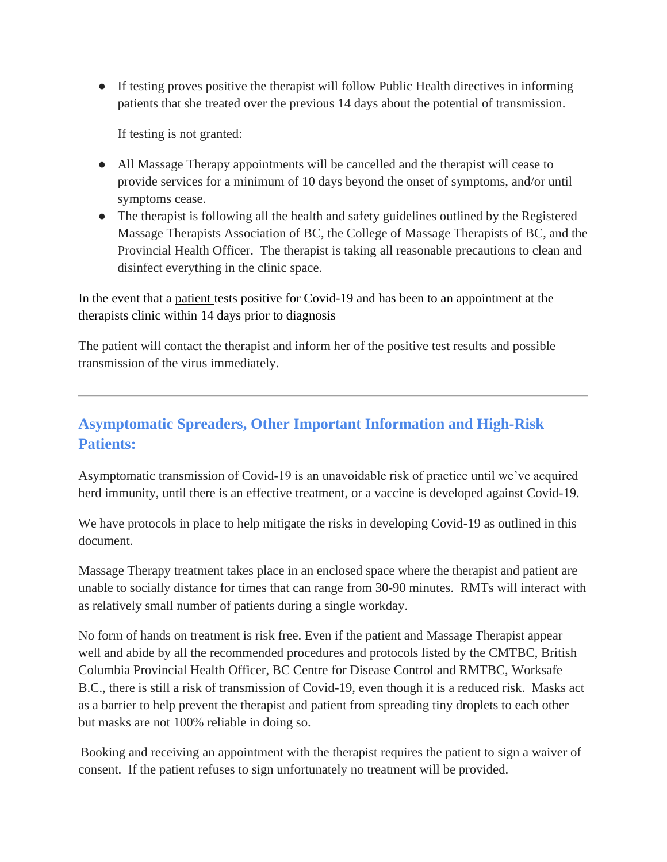● If testing proves positive the therapist will follow Public Health directives in informing patients that she treated over the previous 14 days about the potential of transmission.

If testing is not granted:

- All Massage Therapy appointments will be cancelled and the therapist will cease to provide services for a minimum of 10 days beyond the onset of symptoms, and/or until symptoms cease.
- The therapist is following all the health and safety guidelines outlined by the Registered Massage Therapists Association of BC, the College of Massage Therapists of BC, and the Provincial Health Officer. The therapist is taking all reasonable precautions to clean and disinfect everything in the clinic space.

In the event that a patient tests positive for Covid-19 and has been to an appointment at the therapists clinic within 14 days prior to diagnosis

The patient will contact the therapist and inform her of the positive test results and possible transmission of the virus immediately.

## **Asymptomatic Spreaders, Other Important Information and High-Risk Patients:**

Asymptomatic transmission of Covid-19 is an unavoidable risk of practice until we've acquired herd immunity, until there is an effective treatment, or a vaccine is developed against Covid-19.

We have protocols in place to help mitigate the risks in developing Covid-19 as outlined in this document.

Massage Therapy treatment takes place in an enclosed space where the therapist and patient are unable to socially distance for times that can range from 30-90 minutes. RMTs will interact with as relatively small number of patients during a single workday.

No form of hands on treatment is risk free. Even if the patient and Massage Therapist appear well and abide by all the recommended procedures and protocols listed by the CMTBC, British Columbia Provincial Health Officer, BC Centre for Disease Control and RMTBC, Worksafe B.C., there is still a risk of transmission of Covid-19, even though it is a reduced risk. Masks act as a barrier to help prevent the therapist and patient from spreading tiny droplets to each other but masks are not 100% reliable in doing so.

Booking and receiving an appointment with the therapist requires the patient to sign a waiver of consent. If the patient refuses to sign unfortunately no treatment will be provided.